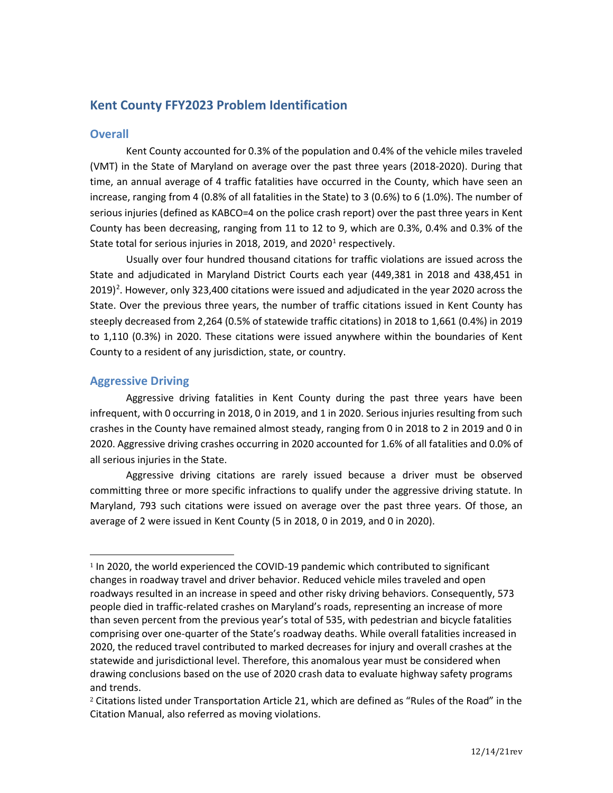# **Kent County FFY2023 Problem Identification**

# **Overall**

Kent County accounted for 0.3% of the population and 0.4% of the vehicle miles traveled (VMT) in the State of Maryland on average over the past three years (2018-2020). During that time, an annual average of 4 traffic fatalities have occurred in the County, which have seen an increase, ranging from 4 (0.8% of all fatalities in the State) to 3 (0.6%) to 6 (1.0%). The number of serious injuries (defined as KABCO=4 on the police crash report) over the past three years in Kent County has been decreasing, ranging from 11 to 12 to 9, which are 0.3%, 0.4% and 0.3% of the State total for serious injuries in 20[1](#page-0-0)8, 2019, and 2020<sup>1</sup> respectively.

Usually over four hundred thousand citations for traffic violations are issued across the State and adjudicated in Maryland District Courts each year (449,381 in 2018 and 438,451 in [2](#page-0-1)019)<sup>2</sup>. However, only 323,400 citations were issued and adjudicated in the year 2020 across the State. Over the previous three years, the number of traffic citations issued in Kent County has steeply decreased from 2,264 (0.5% of statewide traffic citations) in 2018 to 1,661 (0.4%) in 2019 to 1,110 (0.3%) in 2020. These citations were issued anywhere within the boundaries of Kent County to a resident of any jurisdiction, state, or country.

# **Aggressive Driving**

Aggressive driving fatalities in Kent County during the past three years have been infrequent, with 0 occurring in 2018, 0 in 2019, and 1 in 2020. Serious injuries resulting from such crashes in the County have remained almost steady, ranging from 0 in 2018 to 2 in 2019 and 0 in 2020. Aggressive driving crashes occurring in 2020 accounted for 1.6% of all fatalities and 0.0% of all serious injuries in the State.

Aggressive driving citations are rarely issued because a driver must be observed committing three or more specific infractions to qualify under the aggressive driving statute. In Maryland, 793 such citations were issued on average over the past three years. Of those, an average of 2 were issued in Kent County (5 in 2018, 0 in 2019, and 0 in 2020).

<span id="page-0-0"></span><sup>&</sup>lt;sup>1</sup> In 2020, the world experienced the COVID-19 pandemic which contributed to significant changes in roadway travel and driver behavior. Reduced vehicle miles traveled and open roadways resulted in an increase in speed and other risky driving behaviors. Consequently, 573 people died in traffic-related crashes on Maryland's roads, representing an increase of more than seven percent from the previous year's total of 535, with pedestrian and bicycle fatalities comprising over one-quarter of the State's roadway deaths. While overall fatalities increased in 2020, the reduced travel contributed to marked decreases for injury and overall crashes at the statewide and jurisdictional level. Therefore, this anomalous year must be considered when drawing conclusions based on the use of 2020 crash data to evaluate highway safety programs and trends.

<span id="page-0-1"></span><sup>2</sup> Citations listed under Transportation Article 21, which are defined as "Rules of the Road" in the Citation Manual, also referred as moving violations.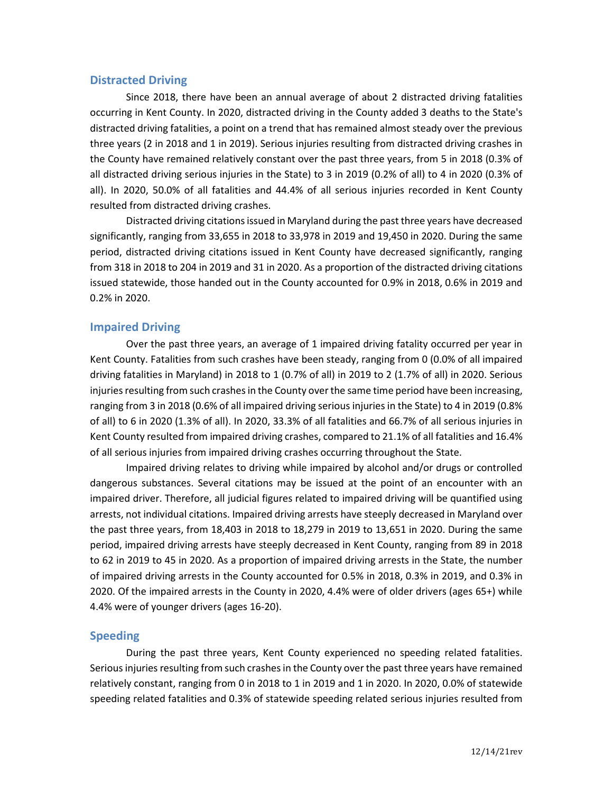### **Distracted Driving**

Since 2018, there have been an annual average of about 2 distracted driving fatalities occurring in Kent County. In 2020, distracted driving in the County added 3 deaths to the State's distracted driving fatalities, a point on a trend that has remained almost steady over the previous three years (2 in 2018 and 1 in 2019). Serious injuries resulting from distracted driving crashes in the County have remained relatively constant over the past three years, from 5 in 2018 (0.3% of all distracted driving serious injuries in the State) to 3 in 2019 (0.2% of all) to 4 in 2020 (0.3% of all). In 2020, 50.0% of all fatalities and 44.4% of all serious injuries recorded in Kent County resulted from distracted driving crashes.

Distracted driving citations issued in Maryland during the past three years have decreased significantly, ranging from 33,655 in 2018 to 33,978 in 2019 and 19,450 in 2020. During the same period, distracted driving citations issued in Kent County have decreased significantly, ranging from 318 in 2018 to 204 in 2019 and 31 in 2020. As a proportion of the distracted driving citations issued statewide, those handed out in the County accounted for 0.9% in 2018, 0.6% in 2019 and 0.2% in 2020.

### **Impaired Driving**

Over the past three years, an average of 1 impaired driving fatality occurred per year in Kent County. Fatalities from such crashes have been steady, ranging from 0 (0.0% of all impaired driving fatalities in Maryland) in 2018 to 1 (0.7% of all) in 2019 to 2 (1.7% of all) in 2020. Serious injuries resulting from such crashes in the County over the same time period have been increasing, ranging from 3 in 2018 (0.6% of all impaired driving serious injuries in the State) to 4 in 2019 (0.8% of all) to 6 in 2020 (1.3% of all). In 2020, 33.3% of all fatalities and 66.7% of all serious injuries in Kent County resulted from impaired driving crashes, compared to 21.1% of all fatalities and 16.4% of all serious injuries from impaired driving crashes occurring throughout the State.

Impaired driving relates to driving while impaired by alcohol and/or drugs or controlled dangerous substances. Several citations may be issued at the point of an encounter with an impaired driver. Therefore, all judicial figures related to impaired driving will be quantified using arrests, not individual citations. Impaired driving arrests have steeply decreased in Maryland over the past three years, from 18,403 in 2018 to 18,279 in 2019 to 13,651 in 2020. During the same period, impaired driving arrests have steeply decreased in Kent County, ranging from 89 in 2018 to 62 in 2019 to 45 in 2020. As a proportion of impaired driving arrests in the State, the number of impaired driving arrests in the County accounted for 0.5% in 2018, 0.3% in 2019, and 0.3% in 2020. Of the impaired arrests in the County in 2020, 4.4% were of older drivers (ages 65+) while 4.4% were of younger drivers (ages 16-20).

### **Speeding**

During the past three years, Kent County experienced no speeding related fatalities. Serious injuries resulting from such crashes in the County over the past three years have remained relatively constant, ranging from 0 in 2018 to 1 in 2019 and 1 in 2020. In 2020, 0.0% of statewide speeding related fatalities and 0.3% of statewide speeding related serious injuries resulted from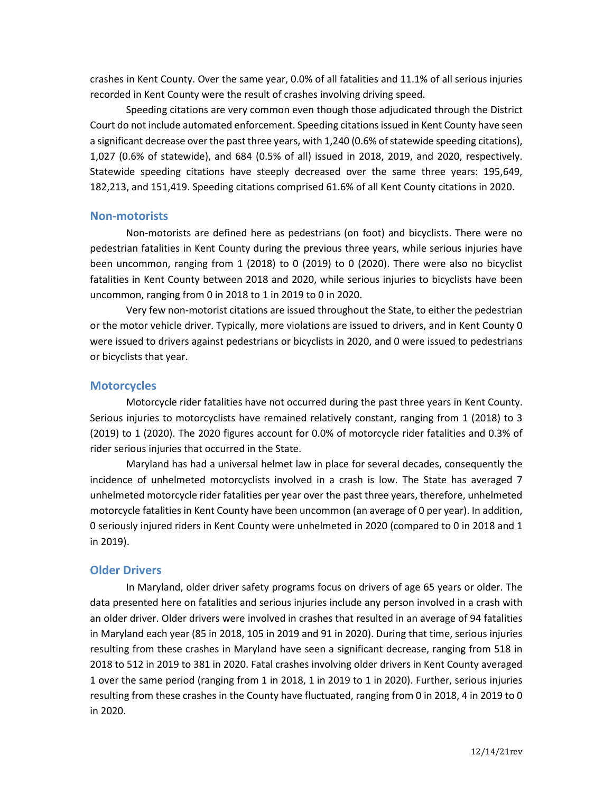crashes in Kent County. Over the same year, 0.0% of all fatalities and 11.1% of all serious injuries recorded in Kent County were the result of crashes involving driving speed.

Speeding citations are very common even though those adjudicated through the District Court do not include automated enforcement. Speeding citations issued in Kent County have seen a significant decrease over the past three years, with 1,240 (0.6% of statewide speeding citations), 1,027 (0.6% of statewide), and 684 (0.5% of all) issued in 2018, 2019, and 2020, respectively. Statewide speeding citations have steeply decreased over the same three years: 195,649, 182,213, and 151,419. Speeding citations comprised 61.6% of all Kent County citations in 2020.

#### **Non-motorists**

Non-motorists are defined here as pedestrians (on foot) and bicyclists. There were no pedestrian fatalities in Kent County during the previous three years, while serious injuries have been uncommon, ranging from 1 (2018) to 0 (2019) to 0 (2020). There were also no bicyclist fatalities in Kent County between 2018 and 2020, while serious injuries to bicyclists have been uncommon, ranging from 0 in 2018 to 1 in 2019 to 0 in 2020.

Very few non-motorist citations are issued throughout the State, to either the pedestrian or the motor vehicle driver. Typically, more violations are issued to drivers, and in Kent County 0 were issued to drivers against pedestrians or bicyclists in 2020, and 0 were issued to pedestrians or bicyclists that year.

#### **Motorcycles**

Motorcycle rider fatalities have not occurred during the past three years in Kent County. Serious injuries to motorcyclists have remained relatively constant, ranging from 1 (2018) to 3 (2019) to 1 (2020). The 2020 figures account for 0.0% of motorcycle rider fatalities and 0.3% of rider serious injuries that occurred in the State.

Maryland has had a universal helmet law in place for several decades, consequently the incidence of unhelmeted motorcyclists involved in a crash is low. The State has averaged 7 unhelmeted motorcycle rider fatalities per year over the past three years, therefore, unhelmeted motorcycle fatalities in Kent County have been uncommon (an average of 0 per year). In addition, 0 seriously injured riders in Kent County were unhelmeted in 2020 (compared to 0 in 2018 and 1 in 2019).

### **Older Drivers**

In Maryland, older driver safety programs focus on drivers of age 65 years or older. The data presented here on fatalities and serious injuries include any person involved in a crash with an older driver. Older drivers were involved in crashes that resulted in an average of 94 fatalities in Maryland each year (85 in 2018, 105 in 2019 and 91 in 2020). During that time, serious injuries resulting from these crashes in Maryland have seen a significant decrease, ranging from 518 in 2018 to 512 in 2019 to 381 in 2020. Fatal crashes involving older drivers in Kent County averaged 1 over the same period (ranging from 1 in 2018, 1 in 2019 to 1 in 2020). Further, serious injuries resulting from these crashes in the County have fluctuated, ranging from 0 in 2018, 4 in 2019 to 0 in 2020.